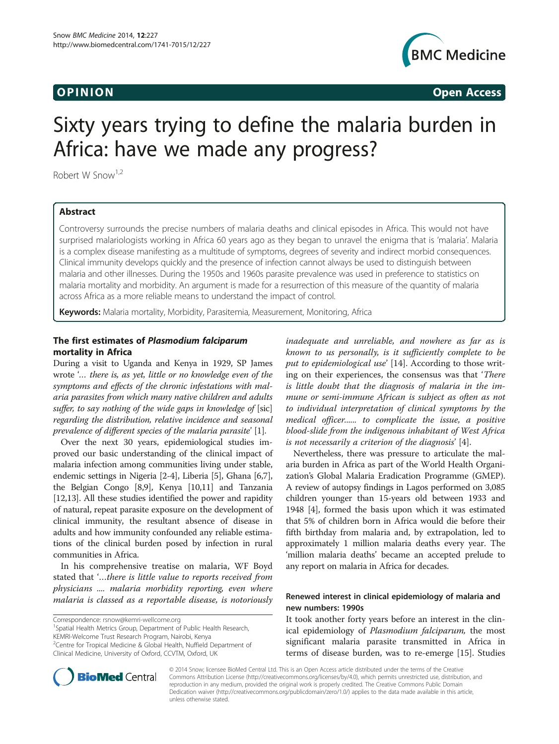

**OPINION** CONSIDERED AT A CONSIDERED ASSESSED AND THE OPEN ACCESS OPEN ACCESS OPEN ACCESS

# Sixty years trying to define the malaria burden in Africa: have we made any progress?

Robert W Snow<sup>1,2</sup>

# Abstract

Controversy surrounds the precise numbers of malaria deaths and clinical episodes in Africa. This would not have surprised malariologists working in Africa 60 years ago as they began to unravel the enigma that is 'malaria'. Malaria is a complex disease manifesting as a multitude of symptoms, degrees of severity and indirect morbid consequences. Clinical immunity develops quickly and the presence of infection cannot always be used to distinguish between malaria and other illnesses. During the 1950s and 1960s parasite prevalence was used in preference to statistics on malaria mortality and morbidity. An argument is made for a resurrection of this measure of the quantity of malaria across Africa as a more reliable means to understand the impact of control.

Keywords: Malaria mortality, Morbidity, Parasitemia, Measurement, Monitoring, Africa

# The first estimates of Plasmodium falciparum mortality in Africa

During a visit to Uganda and Kenya in 1929, SP James wrote '… there is, as yet, little or no knowledge even of the symptoms and effects of the chronic infestations with malaria parasites from which many native children and adults suffer, to say nothing of the wide gaps in knowledge of [sic] regarding the distribution, relative incidence and seasonal prevalence of different species of the malaria parasite' [\[1\]](#page-4-0).

Over the next 30 years, epidemiological studies improved our basic understanding of the clinical impact of malaria infection among communities living under stable, endemic settings in Nigeria [\[2-4](#page-4-0)], Liberia [\[5](#page-4-0)], Ghana [[6](#page-4-0),[7](#page-4-0)], the Belgian Congo [\[8,9](#page-4-0)], Kenya [\[10,11\]](#page-4-0) and Tanzania [[12,13](#page-4-0)]. All these studies identified the power and rapidity of natural, repeat parasite exposure on the development of clinical immunity, the resultant absence of disease in adults and how immunity confounded any reliable estimations of the clinical burden posed by infection in rural communities in Africa.

In his comprehensive treatise on malaria, WF Boyd stated that '…there is little value to reports received from physicians .... malaria morbidity reporting, even where malaria is classed as a reportable disease, is notoriously

Correspondence: [rsnow@kemri-wellcome.org](mailto:rsnow@kemri-wellcome.org) <sup>1</sup>

<sup>1</sup>Spatial Health Metrics Group, Department of Public Health Research,

KEMRI-Welcome Trust Research Program, Nairobi, Kenya

2 Centre for Tropical Medicine & Global Health, Nuffield Department of Clinical Medicine, University of Oxford, CCVTM, Oxford, UK

inadequate and unreliable, and nowhere as far as is known to us personally, is it sufficiently complete to be put to epidemiological use' [\[14](#page-4-0)]. According to those writing on their experiences, the consensus was that 'There is little doubt that the diagnosis of malaria in the immune or semi-immune African is subject as often as not to individual interpretation of clinical symptoms by the medical officer...... to complicate the issue, a positive blood-slide from the indigenous inhabitant of West Africa is not necessarily a criterion of the diagnosis' [\[4](#page-4-0)].

Nevertheless, there was pressure to articulate the malaria burden in Africa as part of the World Health Organization's Global Malaria Eradication Programme (GMEP). A review of autopsy findings in Lagos performed on 3,085 children younger than 15-years old between 1933 and 1948 [\[4](#page-4-0)], formed the basis upon which it was estimated that 5% of children born in Africa would die before their fifth birthday from malaria and, by extrapolation, led to approximately 1 million malaria deaths every year. The 'million malaria deaths' became an accepted prelude to any report on malaria in Africa for decades.

# Renewed interest in clinical epidemiology of malaria and new numbers: 1990s

It took another forty years before an interest in the clinical epidemiology of Plasmodium falciparum, the most significant malaria parasite transmitted in Africa in terms of disease burden, was to re-emerge [\[15](#page-4-0)]. Studies



© 2014 Snow; licensee BioMed Central Ltd. This is an Open Access article distributed under the terms of the Creative Commons Attribution License [\(http://creativecommons.org/licenses/by/4.0\)](http://creativecommons.org/licenses/by/4.0), which permits unrestricted use, distribution, and reproduction in any medium, provided the original work is properly credited. The Creative Commons Public Domain Dedication waiver [\(http://creativecommons.org/publicdomain/zero/1.0/](http://creativecommons.org/publicdomain/zero/1.0/)) applies to the data made available in this article, unless otherwise stated.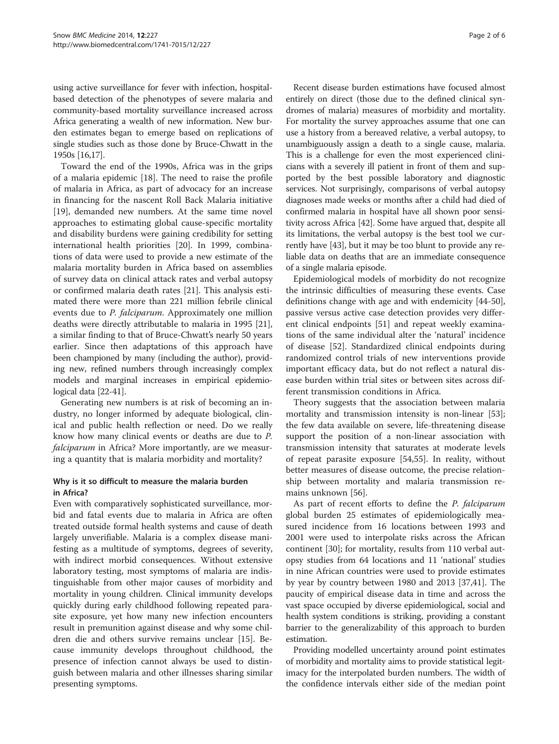using active surveillance for fever with infection, hospitalbased detection of the phenotypes of severe malaria and community-based mortality surveillance increased across Africa generating a wealth of new information. New burden estimates began to emerge based on replications of single studies such as those done by Bruce-Chwatt in the 1950s [\[16,17\]](#page-4-0).

Toward the end of the 1990s, Africa was in the grips of a malaria epidemic [[18\]](#page-4-0). The need to raise the profile of malaria in Africa, as part of advocacy for an increase in financing for the nascent Roll Back Malaria initiative [[19\]](#page-4-0), demanded new numbers. At the same time novel approaches to estimating global cause-specific mortality and disability burdens were gaining credibility for setting international health priorities [\[20\]](#page-4-0). In 1999, combinations of data were used to provide a new estimate of the malaria mortality burden in Africa based on assemblies of survey data on clinical attack rates and verbal autopsy or confirmed malaria death rates [[21\]](#page-4-0). This analysis estimated there were more than 221 million febrile clinical events due to P. falciparum. Approximately one million deaths were directly attributable to malaria in 1995 [\[21](#page-4-0)], a similar finding to that of Bruce-Chwatt's nearly 50 years earlier. Since then adaptations of this approach have been championed by many (including the author), providing new, refined numbers through increasingly complex models and marginal increases in empirical epidemiological data [[22](#page-4-0)-[41](#page-4-0)].

Generating new numbers is at risk of becoming an industry, no longer informed by adequate biological, clinical and public health reflection or need. Do we really know how many clinical events or deaths are due to P. falciparum in Africa? More importantly, are we measuring a quantity that is malaria morbidity and mortality?

# Why is it so difficult to measure the malaria burden in Africa?

Even with comparatively sophisticated surveillance, morbid and fatal events due to malaria in Africa are often treated outside formal health systems and cause of death largely unverifiable. Malaria is a complex disease manifesting as a multitude of symptoms, degrees of severity, with indirect morbid consequences. Without extensive laboratory testing, most symptoms of malaria are indistinguishable from other major causes of morbidity and mortality in young children. Clinical immunity develops quickly during early childhood following repeated parasite exposure, yet how many new infection encounters result in premunition against disease and why some children die and others survive remains unclear [[15\]](#page-4-0). Because immunity develops throughout childhood, the presence of infection cannot always be used to distinguish between malaria and other illnesses sharing similar presenting symptoms.

Recent disease burden estimations have focused almost entirely on direct (those due to the defined clinical syndromes of malaria) measures of morbidity and mortality. For mortality the survey approaches assume that one can use a history from a bereaved relative, a verbal autopsy, to unambiguously assign a death to a single cause, malaria. This is a challenge for even the most experienced clinicians with a severely ill patient in front of them and supported by the best possible laboratory and diagnostic services. Not surprisingly, comparisons of verbal autopsy diagnoses made weeks or months after a child had died of confirmed malaria in hospital have all shown poor sensitivity across Africa [[42](#page-4-0)]. Some have argued that, despite all its limitations, the verbal autopsy is the best tool we currently have [\[43\]](#page-4-0), but it may be too blunt to provide any reliable data on deaths that are an immediate consequence of a single malaria episode.

Epidemiological models of morbidity do not recognize the intrinsic difficulties of measuring these events. Case definitions change with age and with endemicity [\[44](#page-4-0)[-50](#page-5-0)], passive versus active case detection provides very different clinical endpoints [[51\]](#page-5-0) and repeat weekly examinations of the same individual alter the 'natural' incidence of disease [\[52](#page-5-0)]. Standardized clinical endpoints during randomized control trials of new interventions provide important efficacy data, but do not reflect a natural disease burden within trial sites or between sites across different transmission conditions in Africa.

Theory suggests that the association between malaria mortality and transmission intensity is non-linear [\[53](#page-5-0)]; the few data available on severe, life-threatening disease support the position of a non-linear association with transmission intensity that saturates at moderate levels of repeat parasite exposure [\[54,55\]](#page-5-0). In reality, without better measures of disease outcome, the precise relationship between mortality and malaria transmission remains unknown [[56](#page-5-0)].

As part of recent efforts to define the P. falciparum global burden 25 estimates of epidemiologically measured incidence from 16 locations between 1993 and 2001 were used to interpolate risks across the African continent [[30\]](#page-4-0); for mortality, results from 110 verbal autopsy studies from 64 locations and 11 'national' studies in nine African countries were used to provide estimates by year by country between 1980 and 2013 [[37,41\]](#page-4-0). The paucity of empirical disease data in time and across the vast space occupied by diverse epidemiological, social and health system conditions is striking, providing a constant barrier to the generalizability of this approach to burden estimation.

Providing modelled uncertainty around point estimates of morbidity and mortality aims to provide statistical legitimacy for the interpolated burden numbers. The width of the confidence intervals either side of the median point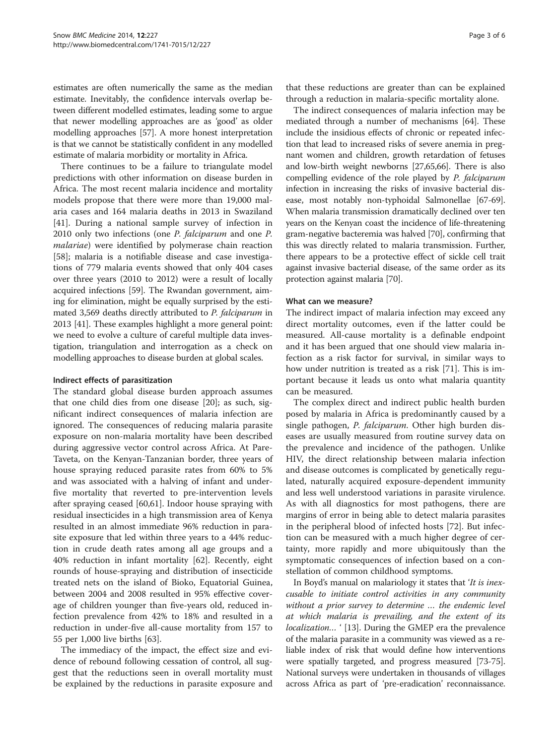estimates are often numerically the same as the median estimate. Inevitably, the confidence intervals overlap between different modelled estimates, leading some to argue that newer modelling approaches are as 'good' as older modelling approaches [[57](#page-5-0)]. A more honest interpretation is that we cannot be statistically confident in any modelled estimate of malaria morbidity or mortality in Africa.

There continues to be a failure to triangulate model predictions with other information on disease burden in Africa. The most recent malaria incidence and mortality models propose that there were more than 19,000 malaria cases and 164 malaria deaths in 2013 in Swaziland [[41\]](#page-4-0). During a national sample survey of infection in 2010 only two infections (one P. falciparum and one P. malariae) were identified by polymerase chain reaction [[58\]](#page-5-0); malaria is a notifiable disease and case investigations of 779 malaria events showed that only 404 cases over three years (2010 to 2012) were a result of locally acquired infections [\[59\]](#page-5-0). The Rwandan government, aiming for elimination, might be equally surprised by the estimated 3,569 deaths directly attributed to P. falciparum in 2013 [\[41\]](#page-4-0). These examples highlight a more general point: we need to evolve a culture of careful multiple data investigation, triangulation and interrogation as a check on modelling approaches to disease burden at global scales.

#### Indirect effects of parasitization

The standard global disease burden approach assumes that one child dies from one disease [\[20\]](#page-4-0); as such, significant indirect consequences of malaria infection are ignored. The consequences of reducing malaria parasite exposure on non-malaria mortality have been described during aggressive vector control across Africa. At Pare-Taveta, on the Kenyan-Tanzanian border, three years of house spraying reduced parasite rates from 60% to 5% and was associated with a halving of infant and underfive mortality that reverted to pre-intervention levels after spraying ceased [[60,61\]](#page-5-0). Indoor house spraying with residual insecticides in a high transmission area of Kenya resulted in an almost immediate 96% reduction in parasite exposure that led within three years to a 44% reduction in crude death rates among all age groups and a 40% reduction in infant mortality [[62](#page-5-0)]. Recently, eight rounds of house-spraying and distribution of insecticide treated nets on the island of Bioko, Equatorial Guinea, between 2004 and 2008 resulted in 95% effective coverage of children younger than five-years old, reduced infection prevalence from 42% to 18% and resulted in a reduction in under-five all-cause mortality from 157 to 55 per 1,000 live births [\[63\]](#page-5-0).

The immediacy of the impact, the effect size and evidence of rebound following cessation of control, all suggest that the reductions seen in overall mortality must be explained by the reductions in parasite exposure and

that these reductions are greater than can be explained through a reduction in malaria-specific mortality alone.

The indirect consequences of malaria infection may be mediated through a number of mechanisms [[64](#page-5-0)]. These include the insidious effects of chronic or repeated infection that lead to increased risks of severe anemia in pregnant women and children, growth retardation of fetuses and low-birth weight newborns [\[27,](#page-4-0)[65](#page-5-0),[66](#page-5-0)]. There is also compelling evidence of the role played by P. falciparum infection in increasing the risks of invasive bacterial disease, most notably non-typhoidal Salmonellae [[67](#page-5-0)-[69](#page-5-0)]. When malaria transmission dramatically declined over ten years on the Kenyan coast the incidence of life-threatening gram-negative bacteremia was halved [\[70\]](#page-5-0), confirming that this was directly related to malaria transmission. Further, there appears to be a protective effect of sickle cell trait against invasive bacterial disease, of the same order as its protection against malaria [\[70\]](#page-5-0).

#### What can we measure?

The indirect impact of malaria infection may exceed any direct mortality outcomes, even if the latter could be measured. All-cause mortality is a definable endpoint and it has been argued that one should view malaria infection as a risk factor for survival, in similar ways to how under nutrition is treated as a risk [[71](#page-5-0)]. This is important because it leads us onto what malaria quantity can be measured.

The complex direct and indirect public health burden posed by malaria in Africa is predominantly caused by a single pathogen, P. falciparum. Other high burden diseases are usually measured from routine survey data on the prevalence and incidence of the pathogen. Unlike HIV, the direct relationship between malaria infection and disease outcomes is complicated by genetically regulated, naturally acquired exposure-dependent immunity and less well understood variations in parasite virulence. As with all diagnostics for most pathogens, there are margins of error in being able to detect malaria parasites in the peripheral blood of infected hosts [\[72\]](#page-5-0). But infection can be measured with a much higher degree of certainty, more rapidly and more ubiquitously than the symptomatic consequences of infection based on a constellation of common childhood symptoms.

In Boyd's manual on malariology it states that 'It is inexcusable to initiate control activities in any community without a prior survey to determine … the endemic level at which malaria is prevailing, and the extent of its localization… ' [\[13\]](#page-4-0). During the GMEP era the prevalence of the malaria parasite in a community was viewed as a reliable index of risk that would define how interventions were spatially targeted, and progress measured [[73](#page-5-0)-[75](#page-5-0)]. National surveys were undertaken in thousands of villages across Africa as part of 'pre-eradication' reconnaissance.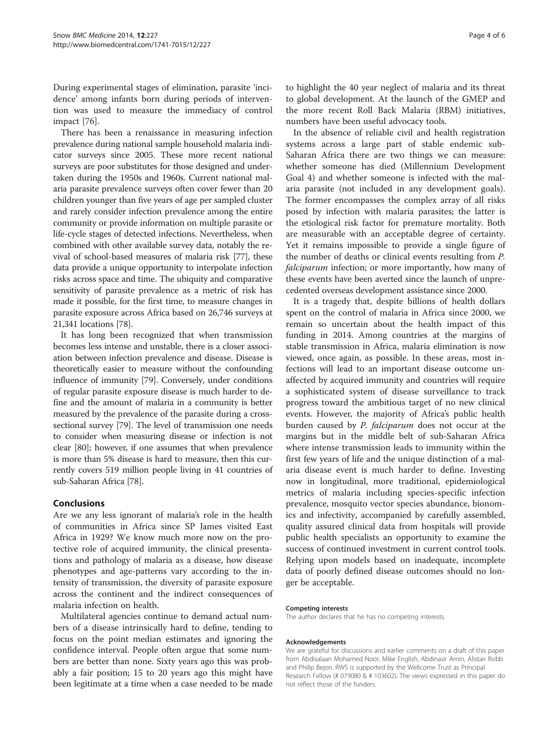During experimental stages of elimination, parasite 'incidence' among infants born during periods of intervention was used to measure the immediacy of control impact [[76\]](#page-5-0).

There has been a renaissance in measuring infection prevalence during national sample household malaria indicator surveys since 2005. These more recent national surveys are poor substitutes for those designed and undertaken during the 1950s and 1960s. Current national malaria parasite prevalence surveys often cover fewer than 20 children younger than five years of age per sampled cluster and rarely consider infection prevalence among the entire community or provide information on multiple parasite or life-cycle stages of detected infections. Nevertheless, when combined with other available survey data, notably the revival of school-based measures of malaria risk [[77](#page-5-0)], these data provide a unique opportunity to interpolate infection risks across space and time. The ubiquity and comparative sensitivity of parasite prevalence as a metric of risk has made it possible, for the first time, to measure changes in parasite exposure across Africa based on 26,746 surveys at 21,341 locations [[78](#page-5-0)].

It has long been recognized that when transmission becomes less intense and unstable, there is a closer association between infection prevalence and disease. Disease is theoretically easier to measure without the confounding influence of immunity [[79](#page-5-0)]. Conversely, under conditions of regular parasite exposure disease is much harder to define and the amount of malaria in a community is better measured by the prevalence of the parasite during a crosssectional survey [\[79\]](#page-5-0). The level of transmission one needs to consider when measuring disease or infection is not clear [\[80](#page-5-0)]; however, if one assumes that when prevalence is more than 5% disease is hard to measure, then this currently covers 519 million people living in 41 countries of sub-Saharan Africa [\[78\]](#page-5-0).

## Conclusions

Are we any less ignorant of malaria's role in the health of communities in Africa since SP James visited East Africa in 1929? We know much more now on the protective role of acquired immunity, the clinical presentations and pathology of malaria as a disease, how disease phenotypes and age-patterns vary according to the intensity of transmission, the diversity of parasite exposure across the continent and the indirect consequences of malaria infection on health.

Multilateral agencies continue to demand actual numbers of a disease intrinsically hard to define, tending to focus on the point median estimates and ignoring the confidence interval. People often argue that some numbers are better than none. Sixty years ago this was probably a fair position; 15 to 20 years ago this might have been legitimate at a time when a case needed to be made to highlight the 40 year neglect of malaria and its threat to global development. At the launch of the GMEP and the more recent Roll Back Malaria (RBM) initiatives, numbers have been useful advocacy tools.

In the absence of reliable civil and health registration systems across a large part of stable endemic sub-Saharan Africa there are two things we can measure: whether someone has died (Millennium Development Goal 4) and whether someone is infected with the malaria parasite (not included in any development goals). The former encompasses the complex array of all risks posed by infection with malaria parasites; the latter is the etiological risk factor for premature mortality. Both are measurable with an acceptable degree of certainty. Yet it remains impossible to provide a single figure of the number of deaths or clinical events resulting from P. falciparum infection; or more importantly, how many of these events have been averted since the launch of unprecedented overseas development assistance since 2000.

It is a tragedy that, despite billions of health dollars spent on the control of malaria in Africa since 2000, we remain so uncertain about the health impact of this funding in 2014. Among countries at the margins of stable transmission in Africa, malaria elimination is now viewed, once again, as possible. In these areas, most infections will lead to an important disease outcome unaffected by acquired immunity and countries will require a sophisticated system of disease surveillance to track progress toward the ambitious target of no new clinical events. However, the majority of Africa's public health burden caused by P. falciparum does not occur at the margins but in the middle belt of sub-Saharan Africa where intense transmission leads to immunity within the first few years of life and the unique distinction of a malaria disease event is much harder to define. Investing now in longitudinal, more traditional, epidemiological metrics of malaria including species-specific infection prevalence, mosquito vector species abundance, bionomics and infectivity, accompanied by carefully assembled, quality assured clinical data from hospitals will provide public health specialists an opportunity to examine the success of continued investment in current control tools. Relying upon models based on inadequate, incomplete data of poorly defined disease outcomes should no longer be acceptable.

#### Competing interests

The author declares that he has no competing interests.

#### Acknowledgements

We are grateful for discussions and earlier comments on a draft of this paper from Abdisalaan Mohamed Noor, Mike English, Abdinasir Amin, Alistair Robb and Philip Bejon. RWS is supported by the Wellcome Trust as Principal Research Fellow (# 079080 & # 103602). The views expressed in this paper do not reflect those of the funders.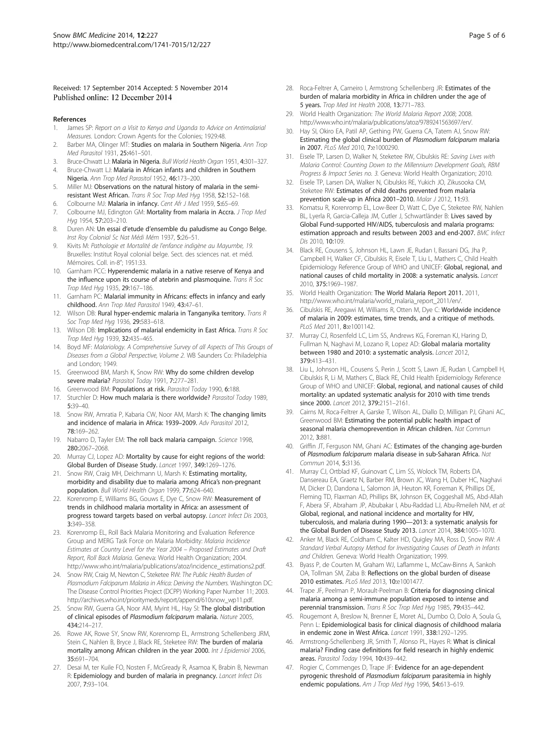#### <span id="page-4-0"></span>Received: 17 September 2014 Accepted: 5 November 2014 Published online: 12 December 2014

#### References

- 1. James SP: Report on a Visit to Kenya and Uganda to Advice on Antimalarial Measures. London: Crown Agents for the Colonies; 1929:48.
- 2. Barber MA, Olinger MT: Studies on malaria in Southern Nigeria. Ann Trop Med Parasitol 1931, 25:461–501.
- Bruce-Chwatt LJ: Malaria in Nigeria. Bull World Health Organ 1951, 4:301-327.
- 4. Bruce-Chwatt LJ: Malaria in African infants and children in Southern Nigeria. Ann Trop Med Parasitol 1952, 46:173–200.
- 5. Miller MJ: Observations on the natural history of malaria in the semiresistant West African. Trans R Soc Trop Med Hyg 1958, 52:152–168.
- 6. Colbourne MJ: Malaria in infancy. Cent Afr J Med 1959, 5:65–69.
- 7. Colbourne MJ, Edington GM: Mortality from malaria in Accra. J Trop Med Hyg 1954, 57:203–210.
- 8. Duren AN: Un essai d'etude d'ensemble du paludisme au Congo Belge. Inst Roy Colonial Sc Nat Médi Mém 1937, 5:26-51.
- 9. Kivits M: Pathologie et Mortalité de l'enfance indigène au Mayumbe, 19. Bruxelles: Institut Royal colonial belge. Sect. des sciences nat. et méd. Mémoires. Coll. in-8"; 1951:33.
- 10. Garnham PCC: Hyperendemic malaria in a native reserve of Kenya and the influence upon its course of atebrin and plasmoquine. Trans R Soc Trop Med Hyg 1935, 29:167–186.
- 11. Garnham PC: Malarial immunity in Africans: effects in infancy and early childhood. Ann Trop Med Parasitol 1949, 43:47–61.
- 12. Wilson DB: Rural hyper-endemic malaria in Tanganyika territory. Trans R Soc Trop Med Hyg 1936, 29:583–618.
- 13. Wilson DB: Implications of malarial endemicity in East Africa. Trans R Soc Trop Med Hyg 1939, 32:435–465.
- 14. Boyd MF: Malariology. A Comprehensive Survey of all Aspects of This Groups of Diseases from a Global Perspective, Volume 2. WB Saunders Co: Philadelphia and London: 1949.
- 15. Greenwood BM, Marsh K, Snow RW: Why do some children develop severe malaria? Parasitol Today 1991, 7:277–281.
- 16. Greenwood BM: Populations at risk. Parasitol Today 1990, 6:188.
- 17. Sturchler D: How much malaria is there worldwide? Parasitol Today 1989, 5:39–40.
- 18. Snow RW, Amratia P, Kabaria CW, Noor AM, Marsh K: The changing limits and incidence of malaria in Africa: 1939–2009. Adv Parasitol 2012, 78:169–262.
- 19. Nabarro D, Tayler EM: The roll back malaria campaign. Science 1998, 280:2067–2068.
- 20. Murray CJ, Lopez AD: Mortality by cause for eight regions of the world: Global Burden of Disease Study. Lancet 1997, 349:1269–1276.
- 21. Snow RW, Craig MH, Deichmann U, Marsh K: Estimating mortality, morbidity and disability due to malaria among Africa's non-pregnant population. Bull World Health Organ 1999, 77:624–640.
- 22. Korenromp E, Williams BG, Gouws E, Dye C, Snow RW: Measurement of trends in childhood malaria mortality in Africa: an assessment of progress toward targets based on verbal autopsy. Lancet Infect Dis 2003, 3:349–358.
- 23. Korenromp EL, Roll Back Malaria Monitoring and Evaluation Reference Group and MERG Task Force on Malaria Morbidity: Malaria Incidence Estimates at Country Level for the Year 2004 – Proposed Estimates and Draft Report, Roll Back Malaria. Geneva: World Health Organization; 2004. [http://www.who.int/malaria/publications/atoz/incidence\\_estimations2.pdf.](http://www.who.int/malaria/publications/atoz/incidence_estimations2.pdf)
- 24. Snow RW, Craig M, Newton C, Steketee RW: The Public Health Burden of Plasmodium Falciparum Malaria in Africa: Deriving the Numbers. Washington DC: The Disease Control Priorities Project (DCPP) Working Paper Number 11; 2003. [http://archives.who.int/prioritymeds/report/append/610snow\\_wp11.pdf.](http://archives.who.int/prioritymeds/report/append/610snow_wp11.pdf)
- 25. Snow RW, Guerra GA, Noor AM, Myint HL, Hay SI: The global distribution of clinical episodes of Plasmodium falciparum malaria. Nature 2005, 434:214–217.
- 26. Rowe AK, Rowe SY, Snow RW, Korenromp EL, Armstrong Schellenberg JRM, Stein C, Nahlen B, Bryce J, Black RE, Steketee RW: The burden of malaria mortality among African children in the year 2000. Int J Epidemiol 2006, 35:691–704.
- 27. Desai M, ter Kuile FO, Nosten F, McGready R, Asamoa K, Brabin B, Newman R: Epidemiology and burden of malaria in pregnancy. Lancet Infect Dis 2007, 7:93–104.
- 28. Roca-Feltrer A, Carneiro I, Armstrong Schellenberg JR: Estimates of the burden of malaria morbidity in Africa in children under the age of 5 years. Trop Med Int Health 2008, 13:771–783.
- 29. World Health Organization: The World Malaria Report 2008; 2008. <http://www.who.int/malaria/publications/atoz/9789241563697/en/>.
- 30. Hay SI, Okiro EA, Patil AP, Gething PW, Guerra CA, Tatem AJ, Snow RW: Estimating the global clinical burden of Plasmodium falciparum malaria in 2007. PLoS Med 2010, 7:e1000290.
- 31. Eisele TP, Larsen D, Walker N, Steketee RW, Cibulskis RE: Saving Lives with Malaria Control: Counting Down to the Millennium Development Goals, RBM Progress & Impact Series no. 3. Geneva: World Health Organization; 2010.
- 32. Eisele TP, Larsen DA, Walker N, Cibulskis RE, Yukich JO, Zikusooka CM, Steketee RW: Estimates of child deaths prevented from malaria prevention scale-up in Africa 2001-2010. Malar J 2012, 11:93.
- 33. Komatsu R, Korenromp EL, Low-Beer D, Watt C, Dye C, Steketee RW, Nahlen BL, Lyerla R, Garcia-Calleja JM, Cutler J, Schwartländer B: Lives saved by Global Fund-supported HIV/AIDS, tuberculosis and malaria programs: estimation approach and results between 2003 and end-2007. BMC Infect Dis 2010, 10:109
- 34. Black RE, Cousens S, Johnson HL, Lawn JE, Rudan I, Bassani DG, Jha P, Campbell H, Walker CF, Cibulskis R, Eisele T, Liu L, Mathers C, Child Health Epidemiology Reference Group of WHO and UNICEF: Global, regional, and national causes of child mortality in 2008: a systematic analysis. Lancet 2010, 375:1969–1987.
- 35. World Health Organization: The World Malaria Report 2011. 2011, [http://www.who.int/malaria/world\\_malaria\\_report\\_2011/en/](http://www.who.int/malaria/world_malaria_report_2011/en/).
- 36. Cibulskis RE, Aregawi M, Williams R, Otten M, Dye C: Worldwide incidence of malaria in 2009: estimates, time trends, and a critique of methods. PLoS Med 2011, 8:e1001142.
- 37. Murray CJ, Rosenfeld LC, Lim SS, Andrews KG, Foreman KJ, Haring D, Fullman N, Naghavi M, Lozano R, Lopez AD: Global malaria mortality between 1980 and 2010: a systematic analysis. Lancet 2012, 379:413–431.
- 38. Liu L, Johnson HL, Cousens S, Perin J, Scott S, Lawn JE, Rudan I, Campbell H, Cibulskis R, Li M, Mathers C, Black RE, Child Health Epidemiology Reference Group of WHO and UNICEF: Global, regional, and national causes of child mortality: an updated systematic analysis for 2010 with time trends since 2000. Lancet 2012, 379:2151-2161.
- 39. Cairns M, Roca-Feltrer A, Garske T, Wilson AL, Diallo D, Milligan PJ, Ghani AC, Greenwood BM: Estimating the potential public health impact of seasonal malaria chemoprevention in African children. Nat Commun 2012, 3:881.
- 40. Griffin JT, Ferguson NM, Ghani AC: Estimates of the changing age-burden of Plasmodium falciparum malaria disease in sub-Saharan Africa. Nat Commun 2014, 5:3136.
- 41. Murray CJ, Ortblad KF, Guinovart C, Lim SS, Wolock TM, Roberts DA, Dansereau EA, Graetz N, Barber RM, Brown JC, Wang H, Duber HC, Naghavi M, Dicker D, Dandona L, Salomon JA, Heuton KR, Foreman K, Phillips DE, Fleming TD, Flaxman AD, Phillips BK, Johnson EK, Coggeshall MS, Abd-Allah F, Abera SF, Abraham JP, Abubakar I, Abu-Raddad LJ, Abu-Rmeileh NM, et al: Global, regional, and national incidence and mortality for HIV, tuberculosis, and malaria during 1990—2013: a systematic analysis for the Global Burden of Disease Study 2013. Lancet 2014, 384:1005–1070.
- 42. Anker M, Black RE, Coldham C, Kalter HD, Quigley MA, Ross D, Snow RW: A Standard Verbal Autopsy Method for Investigating Causes of Death in Infants and Children. Geneva: World Health Organization; 1999.
- 43. Byass P, de Courten M, Graham WJ, Laflamme L, McCaw-Binns A, Sankoh OA, Tollman SM, Zaba B: Reflections on the global burden of disease 2010 estimates. PLoS Med 2013, 10:e1001477.
- 44. Trape JF, Peelman P, Morault-Peelman B: Criteria for diagnosing clinical malaria among a semi-immune population exposed to intense and perennial transmission. Trans R Soc Trop Med Hyg 1985, 79:435–442.
- 45. Rougemont A, Breslow N, Brenner E, Moret AL, Dumbo O, Dolo A, Soula G, Penn L: Epidemiological basis for clinical diagnosis of childhood malaria in endemic zone in West Africa. Lancet 1991, 338:1292–1295.
- 46. Armstrong-Schellenberg JR, Smith T, Alonso PL, Hayes R: What is clinical malaria? Finding case definitions for field research in highly endemic areas. Parasitol Today 1994, 10:439–442.
- 47. Rogier C, Commenges D, Trape JF: Evidence for an age-dependent pyrogenic threshold of Plasmodium falciparum parasitemia in highly endemic populations. Am J Trop Med Hyg 1996, 54:613-619.